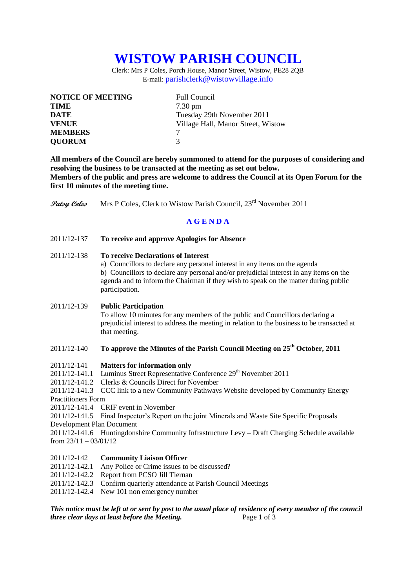# **WISTOW PARISH COUNCIL**

Clerk: Mrs P Coles, Porch House, Manor Street, Wistow, PE28 2QB E-mail: [parishclerk@wistowvillage.info](mailto:parishclerk@wistowvillage.info)

| <b>NOTICE OF MEETING</b> | <b>Full Council</b>                |
|--------------------------|------------------------------------|
| <b>TIME</b>              | $7.30 \text{ pm}$                  |
| <b>DATE</b>              | Tuesday 29th November 2011         |
| <b>VENUE</b>             | Village Hall, Manor Street, Wistow |
| <b>MEMBERS</b>           |                                    |
| <b>QUORUM</b>            | 3                                  |

**All members of the Council are hereby summoned to attend for the purposes of considering and resolving the business to be transacted at the meeting as set out below. Members of the public and press are welcome to address the Council at its Open Forum for the first 10 minutes of the meeting time.**

**Patsy Coles** Mrs P Coles, Clerk to Wistow Parish Council, 23<sup>rd</sup> November 2011

# **A G E N D A**

2011/12-137 **To receive and approve Apologies for Absence**

### 2011/12-138 **To receive Declarations of Interest**

a) Councillors to declare any personal interest in any items on the agenda b) Councillors to declare any personal and/or prejudicial interest in any items on the agenda and to inform the Chairman if they wish to speak on the matter during public participation.

#### 2011/12-139 **Public Participation**

To allow 10 minutes for any members of the public and Councillors declaring a prejudicial interest to address the meeting in relation to the business to be transacted at that meeting.

# 2011/12-140 **To approve the Minutes of the Parish Council Meeting on 25 th October, 2011**

#### 2011/12-141 **Matters for information only**

- $2011/12-141.1$  Luminus Street Representative Conference  $29<sup>th</sup>$  November 2011
- 2011/12-141.2 Clerks & Councils Direct for November

2011/12-141.3 CCC link to a new Community Pathways Website developed by Community Energy Practitioners Form

2011/12-141.4 CRIF event in November

2011/12-141.5 Final Inspector's Report on the joint Minerals and Waste Site Specific Proposals Development Plan Document

2011/12-141.6 Huntingdonshire Community Infrastructure Levy – Draft Charging Schedule available from  $23/11 - 03/01/12$ 

## 2011/12-142 **Community Liaison Officer**

- 2011/12-142.1 Any Police or Crime issues to be discussed?<br>2011/12-142.2 Report from PCSO Jill Tiernan
- Report from PCSO Jill Tiernan
- 2011/12-142.3 Confirm quarterly attendance at Parish Council Meetings
- 2011/12-142.4 New 101 non emergency number

*This notice must be left at or sent by post to the usual place of residence of every member of the council three clear days at least before the Meeting.* Page 1 of 3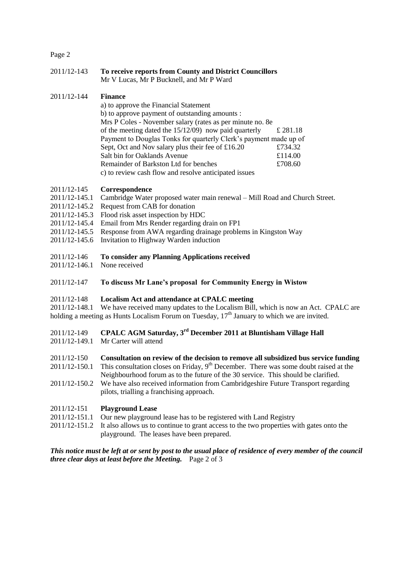#### Page 2

2011/12-143 **To receive reports from County and District Councillors** Mr V Lucas, Mr P Bucknell, and Mr P Ward

#### 2011/12-144 **Finance**

a) to approve the Financial Statement b) to approve payment of outstanding amounts : Mrs P Coles - November salary (rates as per minute no. 8e of the meeting dated the 15/12/09) now paid quarterly  $\pm 281.18$ Payment to Douglas Tonks for quarterly Clerk's payment made up of Sept, Oct and Nov salary plus their fee of £16.20 £734.32 Salt bin for Oaklands Avenue  $£114.00$ Remainder of Barkston Ltd for benches  $£708.60$ c) to review cash flow and resolve anticipated issues

#### 2011/12-145 **Correspondence**

- 2011/12-145.1 Cambridge Water proposed water main renewal Mill Road and Church Street.
- 2011/12-145.2 Request from CAB for donation
- 2011/12-145.3 Flood risk asset inspection by HDC
- 2011/12-145.4 Email from Mrs Render regarding drain on FP1
- 2011/12-145.5 Response from AWA regarding drainage problems in Kingston Way
- 2011/12-145.6 Invitation to Highway Warden induction
- 2011/12-146 **To consider any Planning Applications received**
- 2011/12-146.1 None received
- 2011/12-147 **To discuss Mr Lane's proposal for Community Energy in Wistow**

#### 2011/12-148 **Localism Act and attendance at CPALC meeting**

2011/12-148.1 We have received many updates to the Localism Bill, which is now an Act. CPALC are holding a meeting as Hunts Localism Forum on Tuesday,  $17<sup>th</sup>$  January to which we are invited.

# 2011/12-149 **CPALC AGM Saturday, 3rd December 2011 at Bluntisham Village Hall**

- 2011/12-149.1 Mr Carter will attend
- 2011/12-150 **Consultation on review of the decision to remove all subsidized bus service funding**
- 2011/12-150.1 This consultation closes on Friday,  $9<sup>th</sup>$  December. There was some doubt raised at the Neighbourhood forum as to the future of the 30 service. This should be clarified.
- 2011/12-150.2 We have also received information from Cambridgeshire Future Transport regarding pilots, trialling a franchising approach.

#### 2011/12-151 **Playground Lease**

- 2011/12-151.1 Our new playground lease has to be registered with Land Registry
- 2011/12-151.2 It also allows us to continue to grant access to the two properties with gates onto the playground. The leases have been prepared.

*This notice must be left at or sent by post to the usual place of residence of every member of the council three clear days at least before the Meeting.* Page 2 of 3